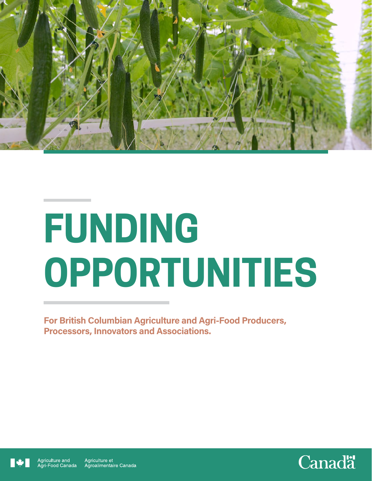

# **FUNDING OPPORTUNITIES**

For British Columbian Agriculture and Agri-Food Producers, Processors, Innovators and Associations.



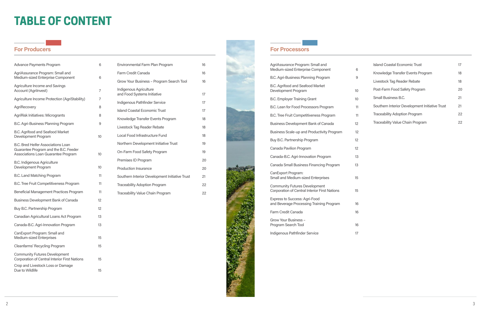

## **For Producers** For Processors

# **TABLE OF CONTENT**

| <b>Advance Payments Program</b>                                                                                           | 6  |
|---------------------------------------------------------------------------------------------------------------------------|----|
| AgriAssurance Program: Small and<br>Medium-sized Enterprise Component                                                     | 6  |
| Agriculture Income and Savings<br><b>Account (Agrilnvest)</b>                                                             | 7  |
| Agriculture Income Protection (AgriStability)                                                                             | 7  |
| AgriRecovery                                                                                                              | 8  |
| AgriRisk Initiatives: Microgrants                                                                                         | 8  |
| B.C. Agri-Business Planning Program                                                                                       | 9  |
| B.C. Agrifood and Seafood Market<br>Development Program                                                                   | 10 |
| <b>B.C. Bred Heifer Associations Loan</b><br>Guarantee Program and the B.C. Feeder<br>Associations Loan Guarantee Program | 10 |
| <b>B.C. Indigenous Agriculture</b><br>Development Program                                                                 | 10 |
| B.C. Land Matching Program                                                                                                | 11 |
| B.C. Tree Fruit Competitiveness Program                                                                                   | 11 |
| Beneficial Management Practices Program                                                                                   | 11 |
| Business Development Bank of Canada                                                                                       | 12 |
| Buy B.C. Partnership Program                                                                                              | 12 |
| Canadian Agricultural Loans Act Program                                                                                   | 13 |
| Canada-B.C. Agri-Innovation Program                                                                                       | 13 |
| CanExport Program: Small and<br>Medium-sized Enterprises                                                                  | 15 |
| Cleanfarms' Recycling Program                                                                                             | 15 |
| <b>Community Futures Development</b><br>Corporation of Central Interior First Nations                                     | 15 |
| Crop and Livestock Loss or Damage<br>Due to Wildlife                                                                      | 15 |

B.C. Agrifood and Seafood Market Development Program

B.C. Employer Training Grant

B.C. Lean for Food Processors Program

B.C. Tree Fruit Competitiveness Program

CanExport Program: Small and Medium-sized Enterprises 15

Express to Success: Agri-Food and Beverage Processing Training Program 16

Farm Credit Canada 16

Grow Your Business – Program Search Tool 16

Indigenous Pathfinder Service 17

| Environmental Farm Plan Program                       | 16 |
|-------------------------------------------------------|----|
| Farm Credit Canada                                    | 16 |
| Grow Your Business - Program Search Tool              | 16 |
| Indigenous Agriculture<br>and Food Systems Initiative | 17 |
| Indigenous Pathfinder Service                         | 17 |
| Island Coastal Economic Trust                         | 17 |
| Knowledge Transfer Events Program                     | 18 |
| Livestock Tag Reader Rebate                           | 18 |
| <b>Local Food Infrastructure Fund</b>                 | 18 |
| Northern Development Initiative Trust                 | 19 |
| On-Farm Food Safety Program                           | 19 |
| Premises ID Program                                   | 20 |
| <b>Production Insurance</b>                           | 20 |
| Southern Interior Development Initiative Trust        | 21 |
| <b>Traceability Adoption Program</b>                  | 22 |
| Traceability Value Chain Program                      | 22 |
|                                                       |    |

|    | Island Coastal Economic Trust                  | 17 |
|----|------------------------------------------------|----|
| 6  | Knowledge Transfer Events Program              | 18 |
| 9  | Livestock Tag Reader Rebate                    | 18 |
| 10 | Post-Farm Food Safety Program                  | 20 |
| 10 | Small Business B.C.                            | 21 |
| 11 | Southern Interior Development Initiative Trust | 21 |
| 11 | <b>Traceability Adoption Program</b>           | 22 |
| 12 | Traceability Value Chain Program               | 22 |
|    |                                                |    |

- 
- 
- 
- 
- 
- 
- 
- 
- 
- 
- 
- 
- 

AgriAssurance Program: Small and Medium-sized Enterprise Component 6

B.C. Agri-Business Planning Program

Business Development Bank of Canada 12

Business Scale-up and Productivity Program 12

Buy B.C. Partnership Program 12

Canada Pavilion Program 12

Canada-B.C. Agri-Innovation Program 13

Canada Small Business Financing Program 13

Community Futures Development Corporation of Central Interior First Nations 15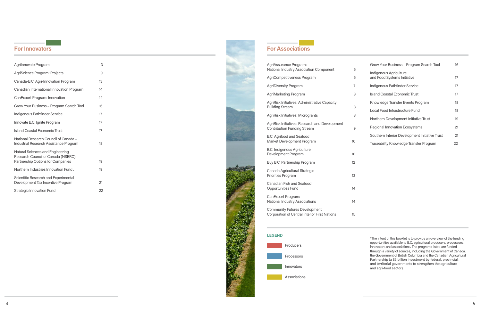4

| Agrilnnovate Program                                                                                         | 3  |
|--------------------------------------------------------------------------------------------------------------|----|
| AgriScience Program: Projects                                                                                | 9  |
| Canada-B.C. Agri-Innovation Program                                                                          | 13 |
| Canadian International Innovation Program                                                                    | 14 |
| CanExport Program: Innovation                                                                                | 14 |
| Grow Your Business - Program Search Tool                                                                     | 16 |
| Indigenous Pathfinder Service                                                                                | 17 |
| Innovate B.C. Ignite Program                                                                                 | 17 |
| Island Coastal Economic Trust                                                                                | 17 |
| National Research Council of Canada -<br>Industrial Research Assistance Program                              | 18 |
| Natural Sciences and Engineering<br>Research Council of Canada (NSERC):<br>Partnership Options for Companies | 19 |
| Northern Industries Innovation Fund.                                                                         | 19 |
| Scientific Research and Experimental<br>Development Tax Incentive Program                                    | 21 |
| <b>Strategic Innovation Fund</b>                                                                             | 22 |



AgriRisk Initiatives: Administrative Capacity **Building Stream** 

AgriRisk Initiatives: Microgrants

AgriRisk Initiatives: Research and Development Contribution Funding Stream

B.C. Agrifood and Seafood Market Development Program and the matter of the Market Development Program

B.C. Indigenous Agriculture Development Program and the control of the 10

Buy B.C. Partnership Program 12

Canada Agricultural Strategic Priorities Program 13

## For Innovators

AgriAssurance Program: National Industry Association Component 6

AgriCompetitiveness Program 6

AgriDiversity Program 7

AgriMarketing Program

Canadian Fish and Seafood Opportunities Fund 14

CanExport Program: National Industry Associations 14

Community Futures Development Corporation of Central Interior First Nations 15

|        | Grow Your Business - Program Search Tool              | 16 |
|--------|-------------------------------------------------------|----|
| 6<br>6 | Indigenous Agriculture<br>and Food Systems Initiative | 17 |
| 7      | Indigenous Pathfinder Service                         | 17 |
| 8      | <b>Island Coastal Economic Trust</b>                  | 17 |
|        | Knowledge Transfer Events Program                     | 18 |
| 8      | Local Food Infrastructure Fund                        | 18 |
| 8      | Northern Development Initiative Trust                 | 19 |
| 9      | <b>Regional Innovation Ecosystems</b>                 | 21 |
| Ŋ      | Southern Interior Development Initiative Trust        | 21 |
|        | Traceability Knowledge Transfer Program               | 22 |
| O      |                                                       |    |
| 2      |                                                       |    |
|        |                                                       |    |
| 3      |                                                       |    |

## For Associations

#### LEGEND



\*The intent of this booklet is to provide an overview of the funding opportunities available to B.C. agricultural producers, processors, innovators and associations. The programs listed are funded through a variety of sources, including the Government of Canada, the Government of British Columbia and the Canadian Agricultural Partnership (a \$3 billion investment by federal, provincial, and territorial governments to strengthen the agriculture and agri-food sector).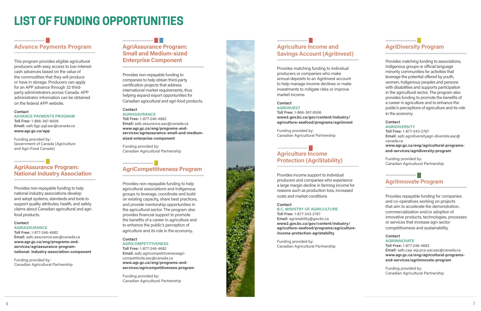# Advance Payments Program

This program provides eligible agricultural producers with easy access to low-interest cash advances based on the value of the commodities that they will produce or have in storage. Producers can apply for an APP advance through 32 thirdparty administrators across Canada. APP administrator information can be obtained on the federal APP website.

#### **Contact**

ADVANCE PAYMENTS PROGRAM Toll Free: 1-866-367-8506 Email: aafc.fgp-pgf.aac@canada.ca

www.agr.gc.ca/app

Funding provided by: Government of Canada (Agriculture and Agri-Food Canada)

## AgriAssurance Program: National Industry Association

Provides non-repayable funding to help national industry associations develop and adopt systems, standards and tools to support quality attributes, health, and safety claims about Canadian agricultural and agrifood products.

#### **Contact**

AGRIASSURANCE

Toll Free: 1-877-246-4682 Email: aafc.assurance.aac@canada.ca www.agr.gc.ca/eng/programs-andservices/agriassurance-programnational- industry-association-component

#### **Contact** AGRICOMPETITIVENESS

Funding provided by: Canadian Agricultural Partnership

## AgriAssurance Program: Small and Medium-sized Enterprise Component

## Agriculture Income and **Savings Account (AgriInvest)**

Provides non-repayable funding to companies to help obtain third-party certification projects that address international market requirements, thus helping expand export opportunities for Canadian agricultural and agri-food products.

## Contact

## AGRIASSURANCE

Toll Free: 1-877-246-4682 Email: aafc.assurance.aac@canada.ca www.agr.gc.ca/eng/programs-andservices/agriassurance-small-and-mediumsized-enterprise-component

Funding provided by: Canadian Agricultural Partnership

# AgriCompetitiveness Program

## **Contact** AGRIDIVERSITY

Provides non-repayable funding to help agricultural associations and Indigenous groups to leverage, coordinate and build on existing capacity, share best practices, and provide mentorship opportunities in the agricultural sector. The program also provides financial support to promote the benefits of a career in agriculture and to enhance the public's perception of agriculture and its role in the economy..

## **Contact** AGRIINNOVATE

Toll Free: 1-877-246-4682 Email: aafc.agricompetitivenessagricompetitivite.aac@canada.ca www.agr.gc.ca/eng/programs-andservices/agricompetitiveness-program

Funding provided by: Canadian Agricultural Partnership



Provides matching funding to individual producers or companies who make annual deposits to an Agrilnvest account to help manage income declines or make investments to mitigate risks or improve market income.

## **Contact**

AGRIINVEST Toll Free: 1-866-367-8506 www2.gov.bc.ca/gov/content/industry/ agriculture-seafood/programs/agriinvest

Funding provided by: Canadian Agricultural Partnership

## Agriculture Income Protection (AgriStability)

Provides income support to individual producers and companies who experience a large margin decline in farming income for reasons such as production loss, increased costs and market conditions

#### **Contact**

B.C. MINISTRY OF AGRICULTURE

Toll Free: 1-877-343-2767 Email: agristability@gov.bc.ca www2.gov.bc.ca/gov/content/industry/ agriculture-seafood/programs/agricultureincome-protection-agristability

Funding provided by: Canadian Agricultural Partnership

## AgriDiversity Program

Provides matching funding to associations, Indigenous groups or official language minority communities for activities that leverage the potential offered by youth, women, Indigenous peoples and persons with disabilities and supports participation in the agricultural sector. The program also provides funding to promote the benefits of a career in agriculture and to enhance the public's perceptions of agriculture and its role in the economy

Toll Free: 1-877-343-2767 Email: aafc.agridiversityagri-diversite.aac@ canada.ca www.agr.gc.ca/eng/agricultural-programsand-services/agridiversity-program

Funding provided by: Canadian Agricultural Partnership

## **Agrilnnovate Program**

Provides repayable funding for companies and co-operatives working on projects that aim to accelerate the demonstration, commercialization and/or adoption of innovative products, technologies, processes or services that increase agri-sector competitiveness and sustainability.

Toll Free: 1-877-246-4682 Email: aafc.cap-aip.pca-pai.aac@canada.ca www.agr.gc.ca/eng/agricultural-programsand-services/agriinnovate-program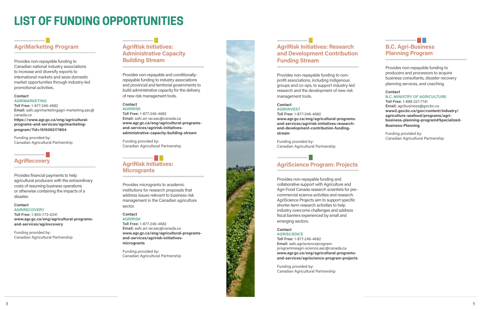# AgriMarketing Program

#### **Contact** AGRIMARKETING

Provides non-repayable funding to Canadian national industry associations to increase and diversify exports to international markets and seize domestic market opportunities through industry-led promotional activities.

Toll Free: 1-877-246-4682 Email: aafc.agrimarketingagri-marketing.aac@ canada.ca https://www.agr.gc.ca/eng/agriculturalprograms-and-services/agrimarketingprogram/?id=1515092171804

**AGRIRECOVERY** Toll Free: 1-855-773-0241 www.agr.gc.ca/eng/agricultural-programsand-services/agrirecovery

Funding provided by: Canadian Agricultural Partnership

# **AgriRecovery**

Provides financial payments to help agricultural producers with the extraordinary costs of resuming business operations or otherwise containing the impacts of a disaster.

## **Contact**

# AgriRisk Initiatives: **Microgrants**

Funding provided by: Canadian Agricultural Partnership

## AgriRisk Initiatives: Administrative Capacity Building Stream

#### **Contact** AGRIINVEST

Provides non-repayable and conditionallyrepayable funding to industry associations and provincial and territorial governments to build administrative capacity for the delivery of new risk management tools.

## **Contact**

AGRIRISK Toll Free: 1-877-246-4682 Email: aafc.ari-iar.aac@canada.ca www.agr.gc.ca/eng/agricultural-programsand-services/agririsk-initiativesadministrative-capacity-building-stream

Funding provided by: Canadian Agricultural Partnership

Provides microgrants to academic institutions for research proposals that address issues relevant to business risk management in the Canadian agriculture sector.

## **Contact**

AGRIRISK Toll Free: 1-877-246-4682 Email: aafc.ari-iar.aac@canada.ca www.agr.gc.ca/eng/agricultural-programsand-services/agririsk-initiativesmicrogrants

Funding provided by: Canadian Agricultural Partnership



## AgriRisk Initiatives: Research and Development Contribution Funding Stream

Provides non-repayable funding to nonprofit associations, including Indigenous groups and co-ops, to support industry-led research and the development of new risk management tools.

## Toll Free: 1-877-246-4682

www.agr.gc.ca/eng/agricultural-programsand-services/agririsk-initiatives-researchand-development-contribution-fundingstream

Funding provided by: Canadian Agricultural Partnership

## AgriScience Program: Projects

Provides non-repayable funding and collaborative support with Agriculture and Agri-Food Canada research scientists for precommercial science activities and research. AgriScience Projects aim to support specific shorter-term research activities to help industry overcome challenges and address fiscal barriers experienced by small and emerging sectors.

## Contact

**AGRISCIENCE** 

Toll Free: 1-877-246-4682 Email: aafc.agriscienceprogramprogrammeagri-science.aac@canada.ca www.agr.gc.ca/eng/agricultural-programsand-services/agriscience-program-projects

Funding provided by: Canadian Agricultural Partnership

| on             | <b>B.C. Agri-Business</b><br><b>Planning Program</b>                                                                                                                                                                                                                    |
|----------------|-------------------------------------------------------------------------------------------------------------------------------------------------------------------------------------------------------------------------------------------------------------------------|
| ١d             | Provides non-repayable funding to<br>producers and processors to acquire<br>business consultants, disaster recovery<br>planning services, and coaching.                                                                                                                 |
| Ć<br>IS-<br>h- | <b>Contact</b><br><b>B.C. MINISTRY OF AGRICULTURE</b><br>Toll Free: 1-888-221-7141<br>Email: agribusiness@gov.bc.ca<br>www2.gov.bc.ca/gov/content/industry/<br>agriculture-seafood/programs/agri-<br>business-planning-program#Specialized-<br><b>Business-Planning</b> |
|                | Funding provided by:                                                                                                                                                                                                                                                    |

Canadian Agricultural Partnership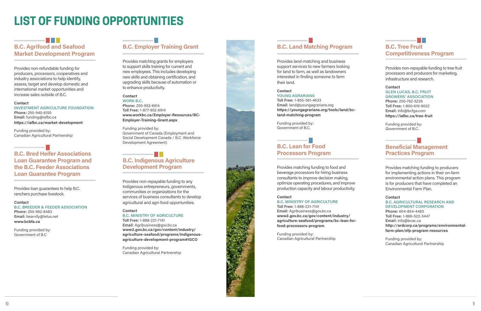

## . . . B.C. Agrifood and Seafood Market Development Program

Provides non-refundable funding for producers, processors, cooperatives and industry associations to help identify, assess, target and develop domestic and international market opportunities and increase sales outside of B.C.

#### Contact

INVESTMENT AGRICULTURE FOUNDATION Phone: 250-940-6150 Email: funding@iafbc.ca

https://iafbc.ca/market-development

Funding provided by: Canadian Agricultural Partnership

#### **Contact** WORK B.C.

## B.C. Bred Heifer Associations Loan Guarantee Program and the B.C. Feeder Associations Loan Guarantee Program

Provides loan guarantees to help B.C. ranchers purchase livestock.

#### Contact

## **TELEVISION** B.C. Indigenous Agriculture Development Program

B.C. BREEDER & FEEDER ASSOCIATION Phone: 250-992-8483 Email: bearvlly@telus.net www.bcbfa.ca

Funding provided by: Government of B.C

## B.C. Employer Training Grant

Provides matching grants for employers to support skills training for current and new employees. This includes developing new skills and obtaining certification, and upgrading skills because of automation or to enhance productivity.

Phone: 250-952-6914 Toll Free: 1-877-952-6914 www.workbc.ca/Employer-Resources/BC-Employer-Training-Grant.aspx

Funding provided by: Government of Canada (Employment and Social Development Canada / B.C. Workforce Development Agreement)

## a ka B.C. Tree Fruit Competitiveness Program

Provides non-repayable funding to any Indigenous entrepreneurs, governments, communities or organizations for the services of business consultants to develop agricultural and agri-food opportunities.

#### **Contact**

#### **Contact** GLEN LUCAS, B.C. FRUIT GROWERS' ASSOCIATION Phone: 250-762-5226 Toll Free: 1-800-619-9022 Email: info@bcfga.com https://iafbc.ca/tree-fruit

## B.C. MINISTRY OF AGRICULTURE

Toll Free: 1-888-221-7141 Email: Agribusiness@gov.bc.ca www2.gov.bc.ca/gov/content/industry/ agriculture-seafood/programs/indigenousagriculture-development-program#IGCO

## **Contact** B.C. AGRICULTURAL RESEARCH AND DEVELOPMENT CORPORATION Phone: 604-854-4483 Toll Free: 1-866-522-3447 Email: info@bcac.ca http://ardcorp.ca/programs/environmentalfarm-plan/efp-program-resources

Funding provided by: Canadian Agricultural Partnership

# B.C. Land Matching Program

Provides land-matching and business support services to new farmers looking for land to farm, as well as landowners interested in finding someone to farm their land.

### Contact

YOUNG AGRARIANS Toll Free: 1-855-561-4633 Email: land@youngagrarians.org https://youngagrarians.org/tools/land/bcland-matching-program

Funding provided by: Government of B.C.

## B.C. Lean for Food Processors Program

Provides matching funding to food and beverage processors for hiring business consultants to improve decision making, optimize operating procedures, and improve production capacity and labour productivity.

#### Contact

B.C. MINISTRY OF AGRICULTURE Toll Free: 1-888-221-7141

Email: Agribusiness@gov.bc.ca www2.gov.bc.ca/gov/content/industry/ agriculture-seafood/programs/bc-lean-forfood-processors-program

Funding provided by: Canadian Agricultural Partnership Provides non-repayable funding to tree fruit processors and producers for marketing, infrastructure and research.

Funding provided by: Government of B.C.

## Beneficial Management Practices Program

Provides matching funding to producers for implementing actions in their on-farm environmental action plans. This program is for producers that have completed an Environmental Farm Plan.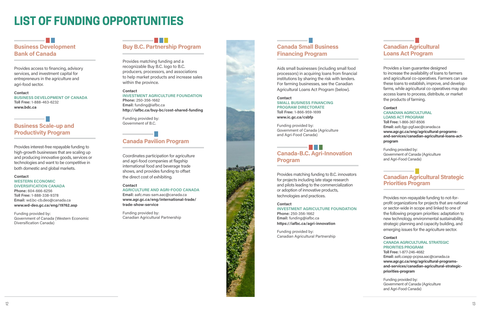

## a ma Business Development Bank of Canada

Provides access to financing, advisory services, and investment capital for entrepreneurs in the agriculture and agri-food sector.

**Contact** BUSINESS DEVELOPMENT OF CANADA Toll Free: 1-888-463-6232 www.bdc.ca

## Business Scale-up and Productivity Program

## **TELEVISION** Buy B.C. Partnership Program

Provides interest-free repayable funding to high-growth businesses that are scaling up and producing innovative goods, services or technologies and want to be competitive in both domestic and global markets.

## Contact

#### **Contact** INVESTMENT AGRICULTURE FOUNDATION Phone: 250-356-1662 Email: funding@iafbc.ca http://iafbc.ca/buy-bc/cost-shared-funding

#### WESTERN ECONOMIC DIVERSIFICATION CANADA

Phone: 604-666-6256 Toll Free: 1-888-338-9378 Email: wd.bc-cb.deo@canada.ca www.wd-deo.gc.ca/eng/19762.asp

Funding provided by: Government of Canada (Western Economic Diversification Canada)

Provides matching funding and a recognizable Buy B.C. logo to B.C. producers, processors, and associations to help market products and increase sales within the province.

## <u> El Bar</u> Canada-B.C. Agri-Innovation Program

Funding provided by: Government of B.C.

## Canada Pavilion Program

Coordinates participation for agriculture and agri-food companies at flagship international food and beverage trade shows, and provides funding to offset the direct cost of exhibiting.

#### **Contact**

AGRICULTURE AND AGRI-FOOD CANADA Email: aafc.mas-sam.aac@canada.ca www.agr.gc.ca/eng/international-trade/ trade-show-service

Funding provided by: Canadian Agricultural Partnership

## $\blacksquare$ Canadian Agricultural Strategic Priorities Program

## Canada Small Business Financing Program

Aids small businesses (including small food processors) in acquiring loans from financial institutions by sharing the risk with lenders. For farming businesses, see the Canadian Agricultural Loans Act Program (below).

### **Contact**

SMALL BUSINESS FINANCING PROGRAM DIRECTORATE Toll Free: 1-866-959-1699 www.ic.gc.ca/csbfp

Funding provided by: Government of Canada (Agriculture and Agri-Food Canada)

Provides matching funding to B.C. innovators for projects including late stage research and pilots leading to the commercialization or adoption of innovative products, technologies and practices.

## Contact

INVESTMENT AGRICULTURE FOUNDATION Phone: 250-356-1662

Email: funding@iafbc.ca https://iafbc.ca/agri-innovation

Funding provided by: Canadian Agricultural Partnership

## Canadian Agricultural Loans Act Program

Provides a loan guarantee designed to increase the availability of loans to farmers and agricultural co-operatives. Farmers can use these loans to establish, improve, and develop farms, while agricultural co-operatives may also access loans to process, distribute, or market the products of farming.

#### Contact

#### CANADIAN AGRICULTURAL LOANS ACT PROGRAM

Toll Free: 1-866-367-8506 Email: aafc.fgp-pgf.aac@canada.ca www.agr.gc.ca/eng/agricultural-programsand-services/canadian-agricultural-loans-actprogram

Funding provided by: Government of Canada (Agriculture and Agri-Food Canada)

Provides non-repayable funding to not-forprofit organizations for projects that are national or sector-wide in scope and linked to one of the following program priorities: adaptation to new technology, environmental sustainability, strategic planning and capacity building, and emerging issues for the agriculture sector.

#### Contact CANADA AGRICULTURAL STRATEGIC PRIORITIES PROGRAM

Toll Free: 1-877-246-4682 Email: aafc.caspp-pcpsa.aac@canada.ca www.agr.gc.ca/eng/agricultural-programsand-services/canadian-agricultural-strategicpriorities-program

Funding provided by: Government of Canada (Agriculture and Agri-Food Canada)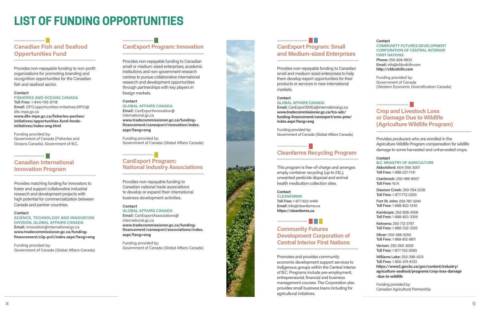

# Canadian Fish and Seafood Opportunities Fund

Provides non-repayable funding to non-profit organizations for promoting branding and recognition opportunities for the Canadian fish and seafood sector.

#### **Contact**

## FISHERIES AND OCEANS CANADA

Toll Free: 1-844-795-9718 Email: DFO.opportunities-initiatives.MPO@ dfo-mpo.gc.ca www.dfo-mpo.gc.ca/fisheries-peches/ initiatives/opportunities-fund-fondsinitiatives/index-eng.html

Funding provided by: Government of Canada (Fisheries and Oceans Canada), Government of B.C.

## Canadian International Innovation Program

Provides matching funding for innovators to foster and support collaborative industrial research and development projects with high potential for commercialization between Canada and partner countries.

#### Contact

SCIENCE, TECHNOLOGY AND INNOVATION DIVISION, GLOBAL AFFAIRS CANADA

Email: innovation@international.gc.ca www.tradecommissioner.gc.ca/fundingfinancement/ciip-pcii/index.aspx?lang=eng

Funding provided by: Government of Canada (Global Affairs Canada)

## **Tara** CanExport Program: Small and Medium-sized Enterprises

## CanExport Program: Innovation

Provides non-repayable funding to Canadian small or medium-sized enterprises, academic institutions and non-government research centres to pursue collaborative international research and development opportunities through partnerships with key players in foreign markets.

### Contact

**CLEANFARMS** Toll Free: 1-877-622-4460 Email: info@cleanfarms.ca https://cleanfarms.ca

## **TELEVISION**

GLOBAL AFFAIRS CANADA Email: CanExportInnovation@ international.gc.ca www.tradecommissioner.gc.ca/fundingfinancement/canexport/innovation/index. aspx?lang=eng

Funding provided by: Government of Canada (Global Affairs Canada)

## CanExport Program: National Industry Associations

#### **Contact** COMMUNITY FUTURES DEVELOPMENT CORPORATION OF CENTRAL INTERIOR FIRST NATIONS Phone: 250-828-9833 Email: info@cfdcofcifn.com

Provides non-repayable funding to Canadian national trade associations to develop or expand their international business development activities.

## **Contact**

GLOBAL AFFAIRS CANADA Email: CanExportAssociations@ international.gc.ca www.tradecommissioner.gc.ca/fundingfinancement/canexport/associations/index. aspx?lang=eng

Funding provided by: Government of Canada (Global Affairs Canada)

Provides non-repayable funding to Canadian small and medium-sized enterprises to help them develop export opportunities for their products or services in new international markets.

#### **Contact**

GLOBAL AFFAIRS CANADA

Email: CanExportSMEs@international.gc.ca www.tradecommissioner.gc.ca/tcs-sdc/ funding-financement/canexport/sme-pme/ index.aspx?lang=eng

Funding provided by: Government of Canada (Global Affairs Canada)

## Cleanfarms Recycling Program

This program is free-of-charge and arranges empty container recycling (up to 23L), unwanted pesticide disposal and animal health medication collection sites.

#### **Contact**

## Community Futures Development Corporation of Central Interior First Nations

Promotes and provides community economic development support services to Indigenous groups within the Central Interior of B.C. Programs include pre-employment, entrepreneurial, financial and business management courses. The Corporation also provides small business loans including for agricultural initiatives.

http://cfdcofcifn.com

Funding provided by: Government of Canada (Western Economic Diversification Canada)

## Crop and Livestock Loss or Damage Due to Wildlife (Agriculture Wildlife Program)

Provides producers who are enrolled in the Agriculture Wildlife Program compensation for wildlife damage to some harvested and unharvested crops.

#### **Contact**

#### B.C. MINISTRY OF AGRICULTURE

Abbotsford: 604-556-3001 Toll Free: 1-888-221-7141

Cranbrook: 250-489-8507 Toll Free: N/A

Dawson Creek: 250-784-2236 Toll Free: 1-877-772-2200

Fort St. John: 250-787-3240 Toll Free: 1-888-822-1345

Kamloops: 250-828-4506 Toll Free: 1-888-823-3355

Kelowna: 250-712-3797 Toll Free: 1-888-332-3352

Oliver: 250-498-5250 Toll Free: 1-888-812-8811

Vernon: 250-260-3000 Toll Free: 1-877-702-5585

Williams Lake: 250-398-4213 Toll Free: 1-800-474-6133 https://www2.gov.bc.ca/gov/content/industry/ agriculture-seafood/programs/crop-loss-damage -due-to-wildlife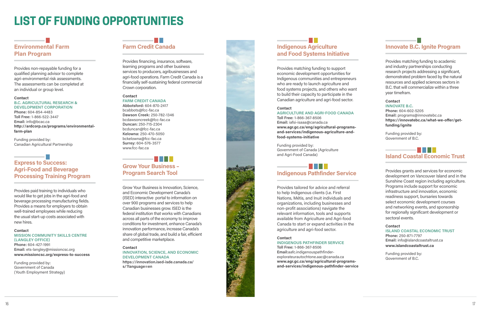

# Environmental Farm Plan Program

Provides non-repayable funding for a qualified planning advisor to complete agri-environmental risk assessments. The assessments can be completed at an individual or group level.

#### **Contact**

## a s Express to Success: Agri-Food and Beverage Processing Training Program

#### B.C. AGRICULTURAL RESEARCH & DEVELOPMENT CORPORATION

Phone: 604-854-4483 Toll Free: 1-866-522-3447 Email: info@bcac.ca http://ardcorp.ca/programs/environmentalfarm-plan

#### **Contact** MISSION COMMUNITY SKILLS CENTRE (LANGLEY OFFICE) Phone: 604-427-1991

Funding provided by: Canadian Agricultural Partnership

## **The Co** Farm Credit Canada

#### **Contact** FARM CREDIT CANADA

Provides paid training to individuals who would like to get jobs in the agri-food and beverage processing manufacturing fields. Provides a means for employers to obtain well-trained employees while reducing the usual start-up costs associated with new hires.

Email: ets-langley@missioncsc.org www.missioncsc.org/express-to-success

Funding provided by: Government of Canada (Youth Employment Strategy)

#### **Contact** INNOVATION, SCIENCE, AND ECONOMIC DEVELOPMENT CANADA https://innovation.ised-isde.canada.ca/

s/?language=en

Provides financing, insurance, software, learning programs and other business services to producers, agribusinesses and agri-food operations. Farm Credit Canada is a financially self-sustaining federal commercial Crown corporation.

## . . . . Indigenous Pathfinder Service

Abbotsford: 604-870-2417 bcabbots@fcc-fac.ca Dawson Creek: 250-782-1346 bcdawsoncreek@fcc-fac.ca Duncan: 250-715-2304 bcduncan@fcc-fac.ca Kelowna: 250-470-5050 bckelowna@fcc-fac.ca Surrey: 604-576-3577 www.fcc-fac.ca

## Grow Your Business – Program Search Tool

Grow Your Business is Innovation, Science, and Economic Development Canada's (ISED) interactive portal to information on over 900 programs and services to help Canadian businesses grow. ISED is the federal institution that works with Canadians across all parts of the economy to improve conditions for investment, enhance Canada's innovation performance, increase Canada's share of global trade, and build a fair, efficient and competitive marketplace.

. . . . .

## . . . . . . . Island Coastal Economic Trust

# Indigenous Agriculture and Food Systems Initiative

Provides matching funding to support economic development opportunities for Indigenous communities and entrepreneurs who are ready to launch agriculture and food systems projects, and others who want to build their capacity to participate in the Canadian agriculture and agri-food sector.

## **Contact**

#### AGRICULTURE AND AGRI-FOOD CANADA Toll Free: 1-866-367-8506

Email: iafsi-isaaa@canada.ca www.agr.gc.ca/eng/agricultural-programsand-services/indigenous-agriculture-andfood-systems-initiative

Funding provided by: Government of Canada (Agriculture and Agri-Food Canada)

Provides tailored for advice and referral to help Indigenous clients (i.e. First Nations, Métis, and Inuit individuals and organizations, including businesses and non-profit associations) navigate the relevant information, tools and supports available from Agriculture and Agri-food Canada to start or expand activities in the agriculture and agri-food sector.

## Contact

## INDIGENOUS PATHFINDER SERVICE

Toll Free: 1-866-367-8506 Email:aafc.indigenouspathfinderexplorateurautochtone.aac@canada.ca www.agr.gc.ca/eng/agricultural-programsand-services/indigenous-pathfinder-service

## Innovate B.C. Ignite Program

Provides matching funding to academic and industry partnerships conducting research projects addressing a significant, demonstrated problem faced by the natural resources and applied sciences sectors in B.C. that will commercialize within a three year timefram.

## Contact

INNOVATE B.C. Phone: 604-602-5205 Email: programs@innovatebc.ca https://innovatebc.ca/what-we-offer/getfunding/ignite

Funding provided by: Government of B.C.

Provides grants and services for economic development on Vancouver Island and in the Sunshine Coast region including agriculture. Programs include support for economic infrastructure and innovation, economic readiness support, bursaries towards select economic development courses and networking events, and sponsorship for regionally significant development or sectoral events.

## **Contact**

## ISLAND COASTAL ECONOMIC TRUST

Phone: 250-871-7797 Email: info@islandcoastaltrust.ca www.islandcoastaltrust.ca

Funding provided by: Government of B.C.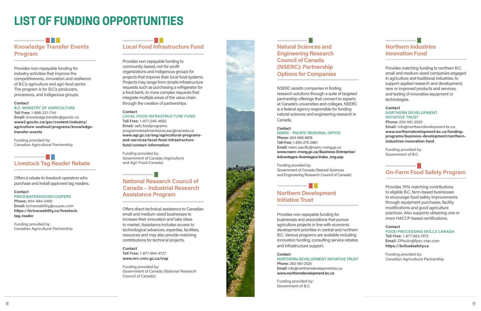## **Contract** Knowledge Transfer Events Program

Provides non-repayable funding for industry activities that improve the competitiveness, innovation and resilience of B.C.'s agriculture and agri-food sector. The program is for B.C.'s producers, processors, and Indigenous groups.

#### **Contact**

## a ka Livestock Tag Reader Rebate

## B.C. MINISTRY OF AGRICULTURE

Toll Free: 1-888-221-7141 Email: knowledge.transfer@gov.bc.ca www2.gov.bc.ca/gov/content/industry/ agriculture-seafood/programs/knowledgetransfer-events

Funding provided by: Canadian Agricultural Partnership

Offers a rebate to livestock operators who purchase and install approved tag readers.

#### Contact

## PRICEWATERHOUSECOOPERS

Phone: 604-484-3490 Email: bctraceability@ca.pwc.com https://bctraceability.ca/livestocktag-reader

Funding provided by: Canadian Agricultural Partnership

# Local Food Infrastructure Fund

**Contact** Toll Free: 1-877-994-4727 www.nrc-cnrc.gc.ca/irap

Provides non-repayable funding to community-based, not-for-profit organizations and Indigenous groups for projects that improve their local food systems. Projects may range from simple infrastructure requests such as purchasing a refrigerator for a food bank, to more complex requests that integrate multiple areas of the value chain through the creation of partnerships.

#### **Contact**

#### LOCAL FOOD INFRASTRUCTURE FUND Toll Free: 1-877-246-4682

Email: aafc.foodprogramsprogrammesalimentaires.aac@canada.ca www.agr.gc.ca/eng/agricultural-programsand-services/local-food-infrastructurefund/contact-information

Funding provided by: Government of Canada (Agriculture and Agri-Food Canada)

## National Research Council of Canada – Industrial Research Assistance Program

Offers direct technical assistance to Canadian small and medium-sized businesses to increase their innovation and take ideas to market. Assistance includes access to technological advances, expertise, facilities, resources and may also provide matching contributions for technical projects.

Funding provided by: Government of Canada (National Research Council of Canada)



Natural Sciences and Engineering Research Council of Canada (NSERC): Partnership Options for Companies

NSERC assists companies in finding research solutions through a suite of targeted partnership offerings that connect to experts at Canada's universities and colleges. NSERC is a federal agency responsible for funding natural sciences and engineering research in Canada.

#### **Contact**

NSERC - PACIFIC REGIONAL OFFICE Phone: 604-666-8818 Toll Free: 1-855-275-2861 Email: nserc-pacific@nserc-crsng.gc.ca www.nserc-crsng.gc.ca/Business-Entreprise/ Advantages-Avantages/index\_eng.asp

Funding provided by: Government of Canada (Natural Sciences and Engineering Research Council of Canada)

n Bar

## Northern Development Initiative Trust

Provides non-repayable funding for businesses and associations that pursue agriculture projects in line with economic development priorities in central and northern B.C. Various programs are available including innovation funding, consulting service rebates and infrastructure support.

#### **Contact**

#### NORTHERN DEVELOPMENT INITIATIVE TRUST Phone: 250-561-2525

Email: info@northerndevelopment.bc.ca www.northerndevelopment.bc.ca

Funding provided by: Government of B.C.

## Northern Industries Innovation Fund

Provides matching funding to northern B.C. small and medium-sized companies engaged in agriculture and traditional industries, to support applied research and development, new or improved products and services, and testing of innovative equipment or technologies.

#### Contact

## NORTHERN DEVELOPMENT INITIATIVE TRUST

Phone: 250-561-2525 Email: info@northerndevelopment.bc.ca www.northerndevelopment.bc.ca/fundingprograms/business-development/northernindustries-innovation-fund

Funding provided by: Government of B.C.

## On-Farm Food Safety Program

Provides 70% matching contributions to eligible B.C. farm-based businesses to encourage food safety improvements through equipment purchases, facility modifications and good agriculture practices. Also supports obtaining one or more HACCP-based certifications.

## **Contact**

FOOD PROCESSING SKILLS CANADA Toll Free: 1-877-963-7472 Email: DPoulin@fpsc-ctac.com https://bcfoodsafety.ca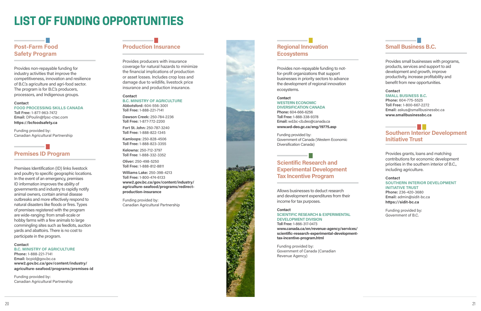

# Post-Farm Food Safety Program

Provides non-repayable funding for industry activities that improve the competitiveness, innovation and resilience of B.C.'s agriculture and agri-food sector. The program is for B.C.'s producers, processors, and Indigenous groups.

#### **Contact**

FOOD PROCESSING SKILLS CANADA

Toll Free: 1-877-963-7472 Email: DPoulin@fpsc-ctac.com https://bcfoodsafety.ca

Funding provided by: Canadian Agricultural Partnership

## Premises ID Program

Premises Identification (ID) links livestock and poultry to specific geographic locations. In the event of an emergency, premises ID information improves the ability of governments and industry to rapidly notify animal owners, contain animal disease outbreaks and more effectively respond to natural disasters like floods or fires. Types of premises registered with the program are wide-ranging: from small-scale or hobby farms with a few animals to large commingling sites such as feedlots, auction yards and abattoirs. There is no cost to participate in the program.

B.C. MINISTRY OF AGRICULTURE Abbotsford: 604-556-3001 Toll Free: 1-888-221-7141

## Regional Innovation **Ecosystems**

#### Contact

#### B.C. MINISTRY OF AGRICULTURE

Phone: 1-888-221-7141 Email: bcpid@gov.bc.ca www2.gov.bc.ca/gov/content/industry/ agriculture-seafood/programs/premises-id

Funding provided by: Canadian Agricultural Partnership

## Production Insurance

Provides producers with insurance coverage for natural hazards to minimize the financial implications of production or asset losses. Includes crop loss and damage due to wildlife, livestock price insurance and production insurance.

#### **Contact**

Dawson Creek: 250-784-2236 Toll Free: 1-877-772-2200

Fort St. John: 250-787-3240 Toll Free: 1-888-822-1345

Kamloops: 250-828-4506 Toll Free: 1-888-823-3355

#### **Contact** SOUTHERN INTERIOR DEVELOPMENT INITIATIVE TRUST

Kelowna: 250-712-3797 Toll Free: 1-888-332-3352

Oliver: 250-498-5250 Toll Free: 1-888-812-8811

Williams Lake: 250-398-4213 Toll Free: 1-800-474-6133 www2.gov.bc.ca/gov/content/industry/ agriculture-seafood/programs/redirectproduction-insurance

Funding provided by: Canadian Agricultural Partnership

Provides non-repayable funding to notfor-profit organizations that support businesses in priority sectors to advance the development of regional innovation ecosystems.

## **Contact**

WESTERN ECONOMIC DIVERSIFICATION CANADA

Phone: 604-666-6256 Toll Free: 1-888-338-9378 Email: wd.bc-cb.deo@canada.ca www.wd-deo.gc.ca/eng/19775.asp

Funding provided by: Government of Canada (Western Economic Diversification Canada)

## Scientific Research and Experimental Development Tax Incentive Program

Allows businesses to deduct research and development expenditures from their income for tax purposes.

#### Contact

SCIENTIFIC RESEARCH & EXPERIMENTAL DEVELOPMENT DIVISION Toll Free: 1-866-317-0473

www.canada.ca/en/revenue-agency/services/ scientific-research-experimental-developmenttax-incentive-program.html

Funding provided by: Government of Canada (Canadian Revenue Agency)

## Small Business B.C.

Provides small businesses with programs, products, services and support to aid development and growth, improve productivity, increase profitability and benefit from new opportunities.

#### Contact SMALL BUSINESS B.C.

Phone: 604-775-5525 Toll Free: 1-800-667-2272 Email: askus@smallbusinessbc.ca www.smallbusinessbc.ca

## Southern Interior Development Initiative Trust

Provides grants, loans and matching contributions for economic development priorities in the southern interior of B.C., including agriculture.

Phone: 236-420-3680 Email: admin@sidit-bc.ca https://sidit-bc.ca

Funding provided by: Government of B.C.